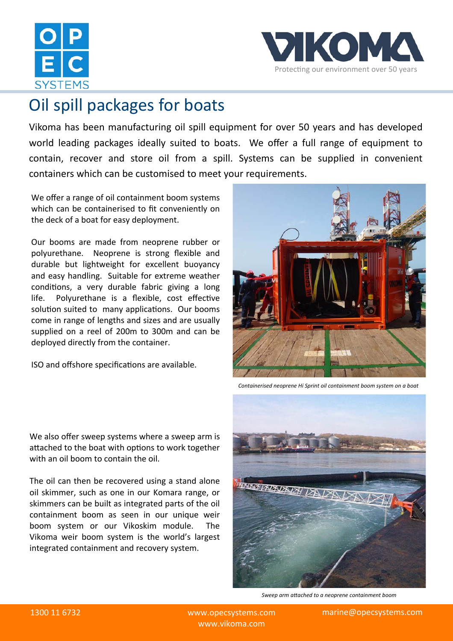



## Oil spill packages for boats

Vikoma has been manufacturing oil spill equipment for over 50 years and has developed world leading packages ideally suited to boats. We offer a full range of equipment to contain, recover and store oil from a spill. Systems can be supplied in convenient containers which can be customised to meet your requirements.

We offer a range of oil containment boom systems which can be containerised to fit conveniently on the deck of a boat for easy deployment.

Our booms are made from neoprene rubber or polyurethane. Neoprene is strong flexible and durable but lightweight for excellent buoyancy and easy handling. Suitable for extreme weather conditions, a very durable fabric giving a long life. Polyurethane is a flexible, cost effective solution suited to many applications. Our booms come in range of lengths and sizes and are usually supplied on a reel of 200m to 300m and can be deployed directly from the container.

ISO and offshore specifications are available.



*Containerised neoprene Hi Sprint oil containment boom system on a boat* 

We also offer sweep systems where a sweep arm is attached to the boat with options to work together with an oil boom to contain the oil.

The oil can then be recovered using a stand alone oil skimmer, such as one in our Komara range, or skimmers can be built as integrated parts of the oil containment boom as seen in our unique weir boom system or our Vikoskim module. The Vikoma weir boom system is the world's largest integrated containment and recovery system.



*Sweep arm aƩached to a neoprene containment boom*

www.vikoma.com